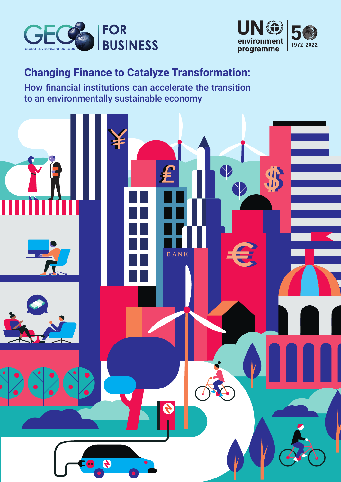



# **Changing Finance to Catalyze Transformation:**

How financial institutions can accelerate the transition to an environmentally sustainable economy

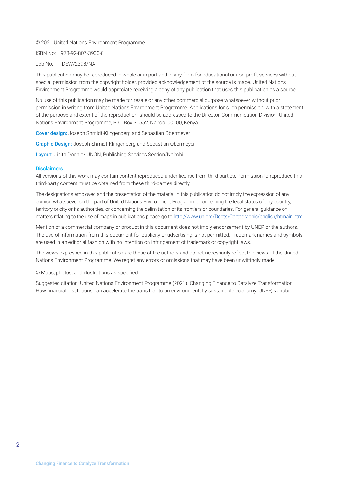#### © 2021 United Nations Environment Programme

ISBN No: 978-92-807-3900-8

#### Job No: DEW/2398/NA

This publication may be reproduced in whole or in part and in any form for educational or non-profit services without special permission from the copyright holder, provided acknowledgement of the source is made. United Nations Environment Programme would appreciate receiving a copy of any publication that uses this publication as a source.

No use of this publication may be made for resale or any other commercial purpose whatsoever without prior permission in writing from United Nations Environment Programme. Applications for such permission, with a statement of the purpose and extent of the reproduction, should be addressed to the Director, Communication Division, United Nations Environment Programme, P. O. Box 30552, Nairobi 00100, Kenya.

Cover design: Joseph Shmidt-Klingenberg and Sebastian Obermeyer

Graphic Design: Joseph Shmidt-Klingenberg and Sebastian Obermeyer

Layout: Jinita Dodhia/ UNON, Publishing Services Section/Nairobi

#### **Disclaimers**

All versions of this work may contain content reproduced under license from third parties. Permission to reproduce this third-party content must be obtained from these third-parties directly.

The designations employed and the presentation of the material in this publication do not imply the expression of any opinion whatsoever on the part of United Nations Environment Programme concerning the legal status of any country, territory or city or its authorities, or concerning the delimitation of its frontiers or boundaries. For general guidance on matters relating to the use of maps in publications please go to<http://www.un.org/Depts/Cartographic/english/htmain.htm>

Mention of a commercial company or product in this document does not imply endorsement by UNEP or the authors. The use of information from this document for publicity or advertising is not permitted. Trademark names and symbols are used in an editorial fashion with no intention on infringement of trademark or copyright laws.

The views expressed in this publication are those of the authors and do not necessarily reflect the views of the United Nations Environment Programme. We regret any errors or omissions that may have been unwittingly made.

© Maps, photos, and illustrations as specified

Suggested citation: United Nations Environment Programme (2021). Changing Finance to Catalyze Transformation: How financial institutions can accelerate the transition to an environmentally sustainable economy. UNEP, Nairobi.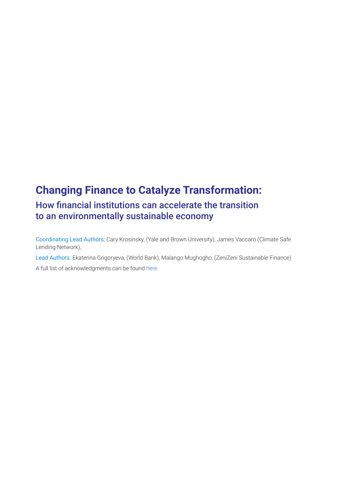## **Changing Finance to Catalyze Transformation:**  How financial institutions can accelerate the transition to an environmentally sustainable economy

Coordinating Lead Authors: Cary Krosinsky, (Yale and Brown University), James Vaccaro (Climate Safe Lending Network),

Lead Authors: Ekaterina Grigoryeva, (World Bank), Malango Mughogho, (ZeniZeni Sustainable Finance) A full list of acknowledgments can be found [here.](https://wedocs.unep.org/bitstream/handle/20.500.11822/37568/GFB6A.pdf)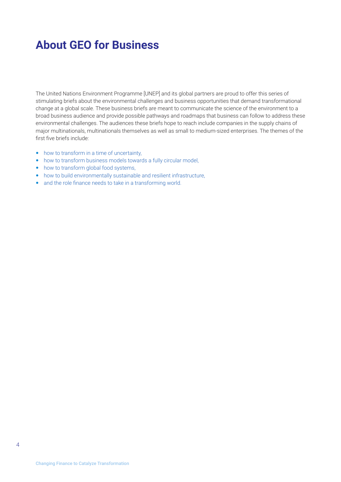# <span id="page-3-0"></span>**About GEO for Business**

The United Nations Environment Programme [UNEP] and its global partners are proud to offer this series of stimulating briefs about the environmental challenges and business opportunities that demand transformational change at a global scale. These business briefs are meant to communicate the science of the environment to a broad business audience and provide possible pathways and roadmaps that business can follow to address these environmental challenges. The audiences these briefs hope to reach include companies in the supply chains of major multinationals, multinationals themselves as well as small to medium-sized enterprises. The themes of the first five briefs include:

- [how to transform in a time of uncertainty,](https://wedocs.unep.org/bitstream/handle/20.500.11822/32630/G4B.pdf?sequence=1&isAllowed=y)
- [how to transform business models towards a fully circular model](https://wedocs.unep.org/bitstream/handle/20.500.11822/36830/RBMLCE.pdf?sequence=3),
- [how to transform global food systems,](https://wedocs.unep.org/bitstream/handle/20.500.11822/36755/GEO4B3.pdf)
- [how to build environmentally sustainable and resilient infrastructure](https://wedocs.unep.org/bitstream/handle/20.500.11822/37563/GFB5.pdf),
- [and the role finance needs to take in a transforming world.](https://wedocs.unep.org/bitstream/handle/20.500.11822/37567/GFB6.pdf)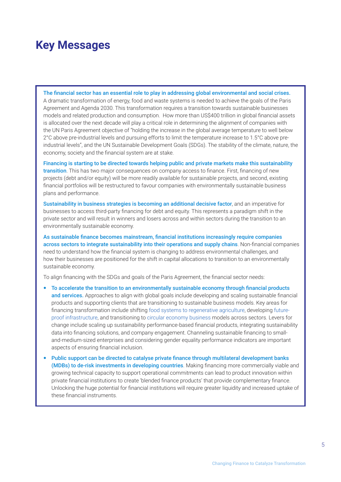## <span id="page-4-0"></span>**Key Messages**

The financial sector has an essential role to play in addressing global environmental and social crises. A dramatic transformation of energy, food and waste systems is needed to achieve the goals of the Paris Agreement and Agenda 2030. This transformation requires a transition towards sustainable businesses models and related production and consumption. How more than US\$400 trillion in global financial assets is allocated over the next decade will play a critical role in determining the alignment of companies with the UN Paris Agreement objective of "holding the increase in the global average temperature to well below 2°C above pre-industrial levels and pursuing efforts to limit the temperature increase to 1.5°C above preindustrial levels", and the UN Sustainable Development Goals (SDGs). The stability of the climate, nature, the economy, society and the financial system are at stake.

Financing is starting to be directed towards helping public and private markets make this sustainability transition. This has two major consequences on company access to finance. First, financing of new projects (debt and/or equity) will be more readily available for sustainable projects, and second, existing financial portfolios will be restructured to favour companies with environmentally sustainable business plans and performance.

Sustainability in business strategies is becoming an additional decisive factor, and an imperative for businesses to access third-party financing for debt and equity. This represents a paradigm shift in the private sector and will result in winners and losers across and within sectors during the transition to an environmentally sustainable economy.

As sustainable finance becomes mainstream, financial institutions increasingly require companies across sectors to integrate sustainability into their operations and supply chains. Non-financial companies need to understand how the financial system is changing to address environmental challenges, and how their businesses are positioned for the shift in capital allocations to transition to an environmentally sustainable economy.

To align financing with the SDGs and goals of the Paris Agreement, the financial sector needs:

- To accelerate the transition to an environmentally sustainable economy through financial products and services. Approaches to align with global goals include developing and scaling sustainable financial products and supporting clients that are transitioning to sustainable business models. Key areas for financing transformation include shifting [food systems to regenerative agriculture](https://wedocs.unep.org/bitstream/handle/20.500.11822/36755/GEO4B3.pdf), developing [future](https://wedocs.unep.org/bitstream/handle/20.500.11822/37563/GFB5.pdf)[proof infrastructure](https://wedocs.unep.org/bitstream/handle/20.500.11822/37563/GFB5.pdf), and transitioning to [circular economy business](https://wedocs.unep.org/bitstream/handle/20.500.11822/36830/RBMLCE.pdf?sequence=3) models across sectors. Levers for change include scaling up sustainability performance-based financial products, integrating sustainability data into financing solutions, and company engagement. Channeling sustainable financing to smalland-medium-sized enterprises and considering gender equality performance indicators are important aspects of ensuring financial inclusion.
- Public support can be directed to catalyse private finance through multilateral development banks (MDBs) to de-risk investments in developing countries. Making financing more commercially viable and growing technical capacity to support operational commitments can lead to product innovation within private financial institutions to create 'blended finance products' that provide complementary finance. Unlocking the huge potential for financial institutions will require greater liquidity and increased uptake of these financial instruments.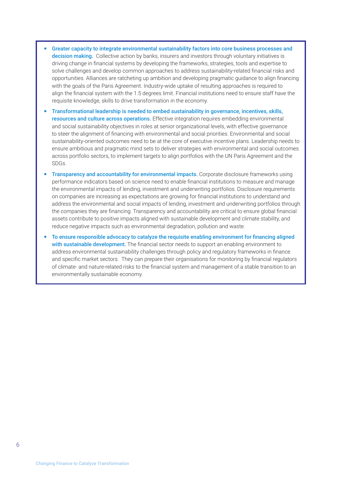- Greater capacity to integrate environmental sustainability factors into core business processes and decision making. Collective action by banks, insurers and investors through voluntary initiatives is driving change in financial systems by developing the frameworks, strategies, tools and expertise to solve challenges and develop common approaches to address sustainability-related financial risks and opportunities. Alliances are ratcheting up ambition and developing pragmatic guidance to align financing with the goals of the Paris Agreement. Industry-wide uptake of resulting approaches is required to align the financial system with the 1.5 degrees limit. Financial institutions need to ensure staff have the requisite knowledge, skills to drive transformation in the economy.
- Transformational leadership is needed to embed sustainability in governance, incentives, skills, resources and culture across operations. Effective integration requires embedding environmental and social sustainability objectives in roles at senior organizational levels, with effective governance to steer the alignment of financing with environmental and social priorities. Environmental and social sustainability-oriented outcomes need to be at the core of executive incentive plans. Leadership needs to ensure ambitious and pragmatic mind sets to deliver strategies with environmental and social outcomes across portfolio sectors, to implement targets to align portfolios with the UN Paris Agreement and the SDGs.
- Transparency and accountability for environmental impacts. Corporate disclosure frameworks using performance indicators based on science need to enable financial institutions to measure and manage the environmental impacts of lending, investment and underwriting portfolios. Disclosure requirements on companies are increasing as expectations are growing for financial institutions to understand and address the environmental and social impacts of lending, investment and underwriting portfolios through the companies they are financing. Transparency and accountability are critical to ensure global financial assets contribute to positive impacts aligned with sustainable development and climate stability, and reduce negative impacts such as environmental degradation, pollution and waste.
- To ensure responsible advocacy to catalyze the requisite enabling environment for financing aligned with sustainable development. The financial sector needs to support an enabling environment to address environmental sustainability challenges through policy and regulatory frameworks in finance and specific market sectors. They can prepare their organisations for monitoring by financial regulators of climate- and nature-related risks to the financial system and management of a stable transition to an environmentally sustainable economy.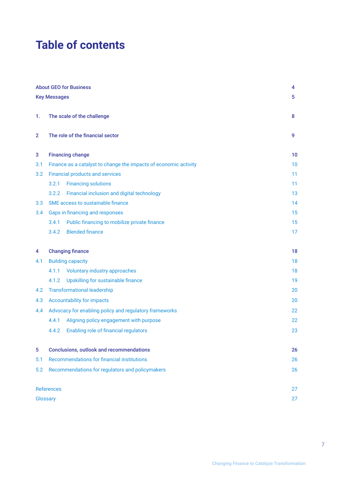# **Table of contents**

|                | <b>About GEO for Business</b>                                    | 4  |
|----------------|------------------------------------------------------------------|----|
|                | <b>Key Messages</b>                                              | 5  |
|                |                                                                  |    |
| 1.             | The scale of the challenge                                       | 8  |
| $\overline{2}$ | The role of the financial sector                                 | 9  |
| 3              | <b>Financing change</b>                                          | 10 |
| 3.1            | Finance as a catalyst to change the impacts of economic activity | 10 |
| 3.2            | <b>Financial products and services</b>                           | 11 |
|                | <b>Financing solutions</b><br>3.2.1                              | 11 |
|                | Financial inclusion and digital technology<br>3.2.2              | 13 |
| 3.3            | SME access to sustainable finance                                | 14 |
| 3.4            | Gaps in financing and responses                                  | 15 |
|                | Public financing to mobilize private finance<br>3.4.1            | 15 |
|                | <b>Blended finance</b><br>3.4.2                                  | 17 |
|                |                                                                  |    |
| 4              | <b>Changing finance</b>                                          | 18 |
| 4.1            | <b>Building capacity</b>                                         | 18 |
|                | <b>Voluntary industry approaches</b><br>4.1.1                    | 18 |
|                | Upskilling for sustainable finance<br>4.1.2                      | 19 |
| 4.2            | <b>Transformational leadership</b>                               | 20 |
| 4.3            | <b>Accountability for impacts</b>                                | 20 |
| $4.4^{\circ}$  | Advocacy for enabling policy and regulatory frameworks           | 22 |
|                | Aligning policy engagement with purpose<br>4.4.1                 | 22 |
|                | 4.4.2<br>Enabling role of financial regulators                   | 23 |
| 5              | <b>Conclusions, outlook and recommendations</b>                  | 26 |
| 5.1            | Recommendations for financial institutions                       | 26 |
| 5.2            | Recommendations for regulators and policymakers                  | 26 |
|                | <b>References</b>                                                | 27 |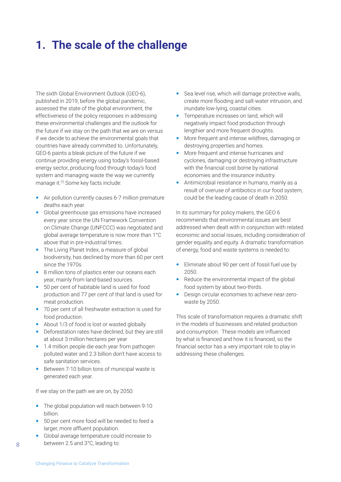# <span id="page-7-0"></span>**1. The scale of the challenge**

The sixth Global Environment Outlook (GEO-6), published in 2019, before the global pandemic, assessed the state of the global environment, the effectiveness of the policy responses in addressing these environmental challenges and the outlook for the future if we stay on the path that we are on versus if we decide to achieve the environmental goals that countries have already committed to. Unfortunately, GEO-6 paints a bleak picture of the future if we continue providing energy using today's fossil-based energy sector, producing food through today's food system and managing waste the way we currently manage it.[1] Some key facts include:

- Air pollution currently causes 6-7 million premature deaths each year.
- Global greenhouse gas emissions have increased every year since the UN Framework Convention on Climate Change (UNFCCC) was negotiated and global average temperature is now more than 1°C above that in pre-industrial times.
- The Living Planet Index, a measure of global biodiversity, has declined by more than 60 per cent since the 1970s.
- 8 million tons of plastics enter our oceans each year, mainly from land-based sources.
- 50 per cent of habitable land is used for food production and 77 per cent of that land is used for meat production.
- 70 per cent of all freshwater extraction is used for food production.
- About 1/3 of food is lost or wasted globally.
- Deforestation rates have declined, but they are still at about 3 million hectares per year
- 1.4 million people die each year from pathogen polluted water and 2.3 billion don't have access to safe sanitation services.
- Between 7-10 billion tons of municipal waste is generated each year.

If we stay on the path we are on, by 2050:

- The global population will reach between 9-10 billion.
- 50 per cent more food will be needed to feed a larger, more affluent population.
- Global average temperature could increase to between 2.5 and 3°C, leading to:
- Sea level rise, which will damage protective walls, create more flooding and salt-water intrusion, and inundate low-lying, coastal cities.
- Temperature increases on land, which will negatively impact food production through lengthier and more frequent droughts.
- More frequent and intense wildfires, damaging or destroying properties and homes.
- More frequent and intense hurricanes and cyclones, damaging or destroying infrastructure with the financial cost borne by national economies and the insurance industry.
- Antimicrobial resistance in humans, mainly as a result of overuse of antibiotics in our food system, could be the leading cause of death in 2050.

In its summary for policy makers, the GEO 6 recommends that environmental issues are best addressed when dealt with in conjunction with related economic and social issues, including consideration of gender equality and equity. A dramatic transformation of energy, food and waste systems is needed to:

- Eliminate about 90 per cent of fossil fuel use by 2050.
- Reduce the environmental impact of the global food system by about two-thirds.
- Design circular economies to achieve near-zerowaste by 2050.

This scale of transformation requires a dramatic shift in the models of businesses and related production and consumption. These models are influenced by what is financed and how it is financed, so the financial sector has a very important role to play in addressing these challenges.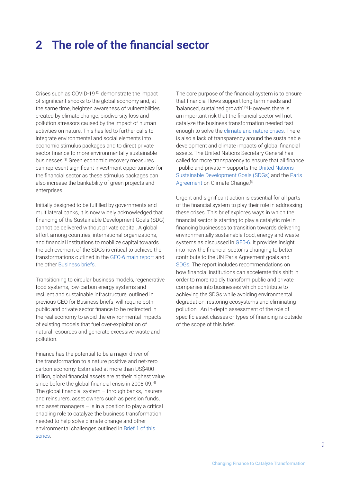## <span id="page-8-0"></span>**2 The role of the financial sector**

Crises such as COVID-19<sup>[2]</sup> demonstrate the impact of significant shocks to the global economy and, at the same time, heighten awareness of vulnerabilities created by climate change, biodiversity loss and pollution stressors caused by the impact of human activities on nature. This has led to further calls to integrate environmental and social elements into economic stimulus packages and to direct private sector finance to more environmentally sustainable businesses.[3] Green economic recovery measures can represent significant investment opportunities for the financial sector as these stimulus packages can also increase the bankability of green projects and enterprises.

Initially designed to be fulfilled by governments and multilateral banks, it is now widely acknowledged that financing of the Sustainable Development Goals (SDG) cannot be delivered without private capital. A global effort among countries, international organizations, and financial institutions to mobilize capital towards the achievement of the SDGs is critical to achieve the transformations outlined in the [GEO-6 main report](https://www.unep.org/resources/global-environment-outlook-6) and the other [Business briefs](https://www.geo-business-report.org/).

Transitioning to circular business models, regenerative food systems, low-carbon energy systems and resilient and sustainable infrastructure, outlined in previous GEO for Business briefs, will require both public and private sector finance to be redirected in the real economy to avoid the environmental impacts of existing models that fuel over-exploitation of natural resources and generate excessive waste and pollution.

Finance has the potential to be a major driver of the transformation to a nature positive and net-zero carbon economy. Estimated at more than US\$400 trillion, global financial assets are at their highest value since before the global financial crisis in 2008-09.<sup>[4]</sup> The global financial system  $-$  through banks, insurers and reinsurers, asset owners such as pension funds, and asset managers – is in a position to play a critical enabling role to catalyze the business transformation needed to help solve climate change and other environmental challenges outlined in [Brief 1 of this](https://www.geo-business-report.org/)  [series](https://www.geo-business-report.org/).

The core purpose of the financial system is to ensure that financial flows support long-term needs and 'balanced, sustained growth'.[5] However, there is an important risk that the financial sector will not catalyze the business transformation needed fast enough to solve the [climate and nature crises.](https://www.theguardian.com/environment/2021/jun/10/climate-and-nature-crises-solve-both-or-solve-neither-say-experts) There is also a lack of transparency around the sustainable development and climate impacts of global financial assets. The United Nations Secretary General has called for more transparency to ensure that all finance - public and private – supports the [United Nations](https://sdgs.un.org/goals)  [Sustainable Development Goals \(SDGs\)](https://sdgs.un.org/goals) and the [Paris](https://unfccc.int/process-and-meetings/the-paris-agreement/the-paris-agreement)  [Agreement](https://unfccc.int/process-and-meetings/the-paris-agreement/the-paris-agreement) on Climate Change.<sup>[6]</sup>

Urgent and significant action is essential for all parts of the financial system to play their role in addressing these crises. This brief explores ways in which the financial sector is starting to play a catalytic role in financing businesses to transition towards delivering environmentally sustainable food, energy and waste systems as discussed in [GE0-6.](https://www.unep.org/resources/global-environment-outlook-6) It provides insight into how the financial sector is changing to better contribute to the UN Paris Agreement goals and [SDGs.](https://sdgs.un.org/goals) The report includes recommendations on how financial institutions can accelerate this shift in order to more rapidly transform public and private companies into businesses which contribute to achieving the SDGs while avoiding environmental degradation, restoring ecosystems and eliminating pollution. An in-depth assessment of the role of specific asset classes or types of financing is outside of the scope of this brief.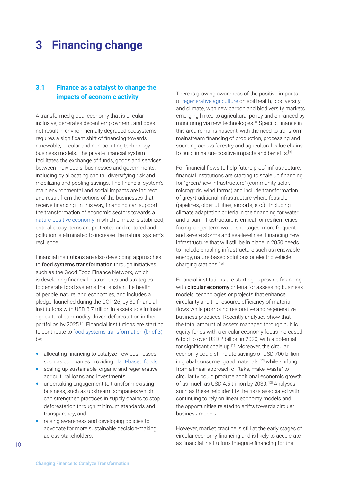# <span id="page-9-0"></span>**3 Financing change**

## **3.1 Finance as a catalyst to change the impacts of economic activity**

A transformed global economy that is circular, inclusive, generates decent employment, and does not result in environmentally degraded ecosystems requires a significant shift of financing towards renewable, circular and non-polluting technology business models. The private financial system facilitates the exchange of funds, goods and services between individuals, businesses and governments, including by allocating capital, diversifying risk and mobilizing and pooling savings. The financial system's main environmental and social impacts are indirect and result from the actions of the businesses that receive financing. In this way, financing can support the transformation of economic sectors towards a [nature-positive economy](https://www.weforum.org/agenda/2021/06/what-is-nature-positive-and-why-is-it-the-key-to-our-future/) in which climate is stabilized, critical ecosystems are protected and restored and pollution is eliminated to increase the natural system's resilience.

Financial institutions are also developing approaches to **food systems transformation** through initiatives such as the Good Food Finance Network, which is developing financial instruments and strategies to generate food systems that sustain the health of people, nature, and economies, and includes a pledge, launched during the COP 26, by 30 financial institutions with USD 8.7 trillion in assets to eliminate agricultural commodity-driven deforestation in their portfolios by 2025 [7]. Financial institutions are starting to contribute to [food systems transformation \(brief 3\)](https://www.geo-business-report.org/) by:

- allocating financing to catalyze new businesses, such as companies providing [plant-based foods](https://www.bbcgoodfood.com/howto/guide/what-plant-based-diet);
- scaling up sustainable, organic and regenerative agricultural loans and investments;
- undertaking engagement to transform existing business, such as upstream companies which can strengthen practices in supply chains to stop deforestation through minimum standards and transparency; and
- raising awareness and developing policies to advocate for more sustainable decision-making across stakeholders.

There is growing awareness of the positive impacts of [regenerative agriculture](https://www.holganix.com/blog/top-5-benefits-of-regenerative-agriculture-infographic) on soil health, biodiversity and climate, with new carbon and biodiversity markets emerging linked to agricultural policy and enhanced by monitoring via new technologies.<sup>[8]</sup> Specific finance in this area remains nascent, with the need to transform mainstream financing of production, processing and sourcing across forestry and agricultural value chains to build in nature-positive impacts and benefits.<sup>[9]</sup>

For financial flows to help future proof infrastructure, financial institutions are starting to scale up financing for "green/new infrastructure" (community solar, microgrids, wind farms) and include transformation of grey/traditional infrastructure where feasible (pipelines, older utilities, airports, etc.) . Including climate adaptation criteria in the financing for water and urban infrastructure is critical for resilient cities facing longer term water shortages, more frequent and severe storms and sea-level rise. Financing new infrastructure that will still be in place in 2050 needs to include enabling infrastructure such as renewable energy, nature-based solutions or electric vehicle charging stations.[10]

Financial institutions are starting to provide financing with **circular economy** criteria for assessing business models, technologies or projects that enhance circularity and the resource efficiency of material flows while promoting restorative and regenerative business practices. Recently analyses show that the total amount of assets managed through public equity funds with a circular economy focus increased 6-fold to over USD 2 billion in 2020, with a potential for significant scale up.<sup>[11]</sup> Moreover, the circular economy could stimulate savings of USD 700 billion in global consumer good materials,[12] while shifting from a linear approach of "take, make, waste" to circularity could produce additional economic growth of as much as USD 4.5 trillion by 2030.[13] Analyses such as these help identify the risks associated with continuing to rely on linear economy models and the opportunities related to shifts towards circular business models.

However, market practice is still at the early stages of circular economy financing and is likely to accelerate as financial institutions integrate financing for the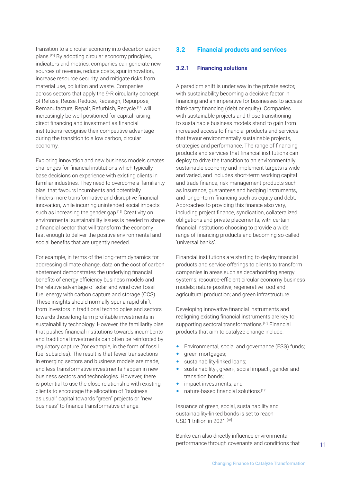<span id="page-10-0"></span>transition to a circular economy into decarbonization plans.[12] By adopting circular economy principles, indicators and metrics, companies can generate new sources of revenue, reduce costs, spur innovation, increase resource security, and mitigate risks from material use, pollution and waste. Companies across sectors that apply the 9-R circularity concept of Refuse, Reuse, Reduce, Redesign, Repurpose, Remanufacture, Repair, Refurbish, Recycle [14] will increasingly be well positioned for capital raising, direct financing and investment as financial institutions recognise their competitive advantage during the transition to a low carbon, circular economy.

Exploring innovation and new business models creates challenges for financial institutions which typically base decisions on experience with existing clients in familiar industries. They need to overcome a 'familiarity bias' that favours incumbents and potentially hinders more transformative and disruptive financial innovation, while incurring unintended social impacts such as increasing the gender gap.<sup>[15]</sup> Creativity on environmental sustainability issues is needed to shape a financial sector that will transform the economy fast enough to deliver the positive environmental and social benefits that are urgently needed.

For example, in terms of the long-term dynamics for addressing climate change, data on the cost of carbon abatement demonstrates the underlying financial benefits of energy efficiency business models and the relative advantage of solar and wind over fossil fuel energy with carbon capture and storage (CCS). These insights should normally spur a rapid shift from investors in traditional technologies and sectors towards those long-term profitable investments in sustainability technology. However, the familiarity bias that pushes financial institutions towards incumbents and traditional investments can often be reinforced by regulatory capture (for example, in the form of fossil fuel subsidies). The result is that fewer transactions in emerging sectors and business models are made, and less transformative investments happen in new business sectors and technologies. However, there is potential to use the close relationship with existing clients to encourage the allocation of "business as usual" capital towards "green" projects or "new business" to finance transformative change.

### **3.2 Financial products and services**

### **3.2.1 Financing solutions**

A paradigm shift is under way in the private sector, with sustainability becoming a decisive factor in financing and an imperative for businesses to access third-party financing (debt or equity). Companies with sustainable projects and those transitioning to sustainable business models stand to gain from increased access to financial products and services that favour environmentally sustainable projects, strategies and performance. The range of financing products and services that financial institutions can deploy to drive the transition to an environmentally sustainable economy and implement targets is wide and varied, and includes short-term working capital and trade finance, risk management products such as insurance, guarantees and hedging instruments, and longer-term financing such as equity and debt. Approaches to providing this finance also vary, including project finance, syndication, collateralized obligations and private placements, with certain financial institutions choosing to provide a wide range of financing products and becoming so-called 'universal banks'.

Financial institutions are starting to deploy financial products and service offerings to clients to transform companies in areas such as decarbonizing energy systems; resource-efficient circular economy business models; nature-positive, regenerative food and agricultural production; and green infrastructure.

Developing innovative financial instruments and realigning existing financial instruments are key to supporting sectoral transformations.<sup>[16]</sup> Financial products that aim to catalyze change include:

- Environmental, social and governance (ESG) funds;
- green mortgages;
- sustainability-linked loans;
- sustainability-, green-, social impact-, gender and transition bonds;
- impact investments; and
- nature-based financial solutions.[17]

Issuance of green, social, sustainability and sustainability-linked bonds is set to reach USD 1 trillion in 2021.<sup>[18]</sup>

Banks can also directly influence environmental performance through covenants and conditions that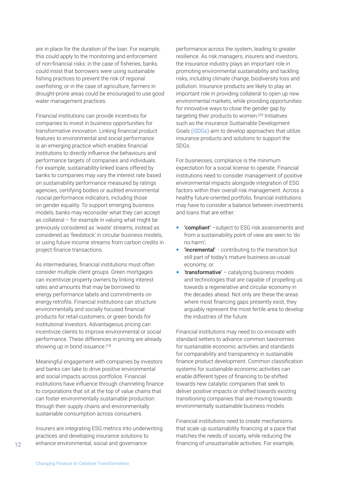are in place for the duration of the loan. For example, this could apply to the monitoring and enforcement of non-financial risks: in the case of fisheries, banks could insist that borrowers were using sustainable fishing practices to prevent the risk of regional overfishing; or in the case of agriculture, farmers in drought-prone areas could be encouraged to use good water management practices.

Financial institutions can provide incentives for companies to invest in business opportunities for transformative innovation. Linking financial product features to environmental and social performance is an emerging practice which enables financial institutions to directly influence the behaviours and performance targets of companies and individuals. For example, sustainability-linked loans offered by banks to companies may vary the interest rate based on sustainability performance measured by ratings agencies, certifying bodies or audited environmental /social performance indicators, including those on gender equality. To support emerging business models, banks may reconsider what they can accept as collateral – for example in valuing what might be previously considered as 'waste' streams, instead as considered as 'feedstock' in circular business models, or using future income streams from carbon credits in project finance transactions.

As intermediaries, financial institutions must often consider multiple client groups. Green mortgages can incentivize property owners by linking interest rates and amounts that may be borrowed to energy performance labels and commitments on energy retrofits. Financial institutions can structure environmentally and socially focused financial products for retail customers, or green bonds for institutional investors. Advantageous pricing can incentivize clients to improve environmental or social performance. These differences in pricing are already showing up in bond issuance.[19]

Meaningful engagement with companies by investors and banks can take to drive positive environmental and social impacts across portfolios. Financial institutions have influence through channeling finance to corporations that sit at the top of value chains that can foster environmentally sustainable production through their supply chains and environmentally sustainable consumption across consumers.

Insurers are integrating ESG metrics into underwriting practices and developing insurance solutions to enhance environmental, social and governance

performance across the system, leading to greater resilience. As risk managers, insurers and investors, the insurance industry plays an important role in promoting environmental sustainability and tackling risks, including climate change, biodiversity loss and pollution. Insurance products are likely to play an important role in providing collateral to open up new environmental markets, while providing opportunities for innovative ways to close the gender gap by targeting their products to women.[20] Initiatives such as the insurance Sustainable Development Goals [\(iSDGs\)](https://www.youtube.com/watch?v=n8j981mFGa4) aim to develop approaches that utilize insurance products and solutions to support the SDGs.

For businesses, compliance is the minimum expectation for a social license to operate. Financial institutions need to consider management of positive environmental impacts alongside integration of ESG factors within their overall risk management. Across a healthy future-oriented portfolio, financial institutions may have to consider a balance between investments and loans that are either:

- 'compliant' –subject to ESG risk assessments and from a sustainability point of view are seen to 'do no harm';
- 'incremental' contributing to the transition but still part of today's mature business-as-usual economy; or
- 'transformative' catalyzing business models and technologies that are capable of propelling us towards a regenerative and circular economy in the decades ahead. Not only are these the areas where most financing gaps presently exist, they arguably represent the most fertile area to develop the industries of the future.

Financial institutions may need to co-innovate with standard setters to advance common taxonomies for sustainable economic activities and standards for comparability and transparency in sustainable finance product development. Common classification systems for sustainable economic activities can enable different types of financing to be shifted towards new catalytic companies that seek to deliver positive impacts or shifted towards existing transitioning companies that are moving towards environmentally sustainable business models.

Financial institutions need to create mechanisms that scale up sustainability financing at a pace that matches the needs of society, while reducing the financing of unsustainable activities. For example,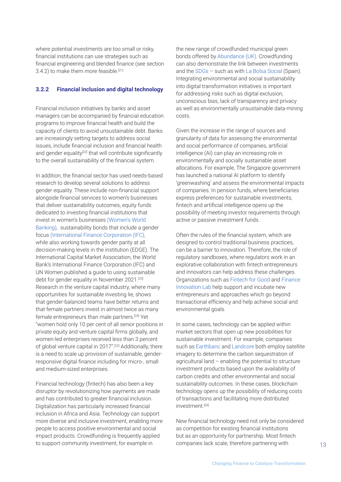<span id="page-12-0"></span>where potential investments are too small or risky, financial institutions can use strategies such as financial engineering and blended finance (see section 3.4.2) to make them more feasible.<sup>[21]</sup>

#### **3.2.2 Financial inclusion and digital technology**

Financial inclusion initiatives by banks and asset managers can be accompanied by financial education programs to improve financial health and build the capacity of clients to avoid unsustainable debt. Banks are increasingly setting targets to address social issues, include financial inclusion and financial health and gender equality<sup>[22]</sup> that will contribute significantly to the overall sustainability of the financial system.

In addition, the financial sector has used needs-based research to develop several solutions to address gender equality. These include non-financial support alongside financial services to women's businesses that deliver sustainability outcomes, equity funds dedicated to investing financial institutions that invest in women's businesses ([Women's World](https://www.womensworldbanking.org/)  [Banking\)](https://www.womensworldbanking.org/), sustainability bonds that include a gender focus [\(International Finance Corporation \(IFC\),](https://www.ifc.org/) while also working towards gender parity at all decision-making levels in the institution (EDGE). The International Capital Market Association, the World Bank's International Finance Corporation (IFC) and UN Women published a guide to using sustainable debt for gender equality in November 2021.[23] Research in the venture capital industry, where many opportunities for sustainable investing lie, shows that gender-balanced teams have better returns and that female partners invest in almost twice as many female entrepreneurs than male partners.[24] Yet "women hold only 10 per cent of all senior positions in private equity and venture capital firms globally, and women-led enterprises received less than 3 percent of global venture capital in 2017".[22] Additionally, there is a need to scale up provision of sustainable, genderresponsive digital finance including for micro-, small and medium-sized enterprises.

Financial technology (fintech) has also been a key disruptor by revolutionizing how payments are made and has contributed to greater financial inclusion. Digitalization has particularly increased financial inclusion in Africa and Asia. Technology can support more diverse and inclusive investment, enabling more people to access positive environmental and social impact products. Crowdfunding is frequently applied to support community investment, for example in

the new range of crowdfunded municipal green bonds offered by [Abundance \(UK\).](https://issuers.abundanceinvestment.com/local-authorities) Crowdfunding can also demonstrate the link between investments and the [SDGs](https://sdgs.un.org/goals) – such as with [La Bolsa Social](https://www.bolsasocial.com/) (Spain). Integrating environmental and social sustainability into digital transformation initiatives is important for addressing risks such as digital exclusion, unconscious bias, lack of transparency and privacy as well as environmentally unsustainable data-mining costs.

Given the increase in the range of sources and granularity of data for assessing the environmental and social performance of companies, artificial intelligence (AI) can play an increasing role in environmentally and socially sustainable asset allocations. For example, The Singapore government has launched a national AI platform to identify 'greenwashing' and assess the environmental impacts of companies. In pension funds, where beneficiaries express preferences for sustainable investments, fintech and artificial intelligence opens up the possibility of meeting investor requirements through active or passive investment funds.

Often the rules of the financial system, which are designed to control traditional business practices, can be a barrier to innovation. Therefore, the role of regulatory sandboxes, where regulators work in an explorative collaboration with fintech entrepreneurs and innovators can help address these challenges. Organizations such as [Fintech for Good](http://www.fintechforgood.com/) and [Finance](https://financeinnovationlab.org/)  [Innovation Lab](https://financeinnovationlab.org/) help support and incubate new entrepreneurs and approaches which go beyond transactional efficiency and help achieve social and environmental goals.

In some cases, technology can be applied within market sectors that open up new possibilities for sustainable investment. For example, companies such as [Earthbanc](https://earthbanc.io/impact-screening-process/) and [Landcore](https://landcore.org/about) both employ satellite imagery to determine the carbon sequestration of agricultural land – enabling the potential to structure investment products based upon the availability of carbon credits and other environmental and social sustainability outcomes. In these cases, blockchain technology opens up the possibility of reducing costs of transactions and facilitating more distributed investment.[26]

New financial technology need not only be considered as competition for existing financial institutions but as an opportunity for partnership. Most fintech companies lack scale, therefore partnering with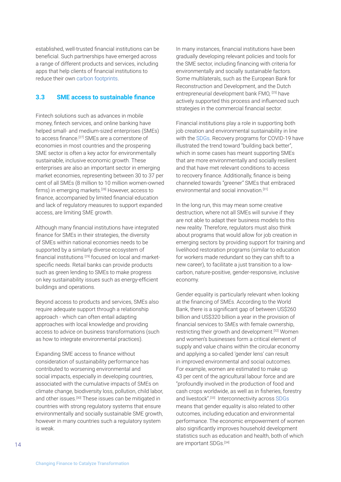<span id="page-13-0"></span>established, well-trusted financial institutions can be beneficial. Such partnerships have emerged across a range of different products and services, including apps that help clients of financial institutions to reduce their own [carbon footprints.](https://cfp.nl/en/2019/07/23/lloyds-banking-group-to-pilot-app-to-help-reduce-businesses-carbon-footprint/)

### **3.3 SME access to sustainable finance**

Fintech solutions such as advances in mobile money, fintech services, and online banking have helped small- and medium-sized enterprises (SMEs) to access finance.<sup>[27]</sup> SMEs are a cornerstone of economies in most countries and the prospering SME sector is often a key actor for environmentally sustainable, inclusive economic growth. These enterprises are also an important sector in emerging market economies, representing between 30 to 37 per cent of all SMEs (8 million to 10 million women-owned firms) in emerging markets.<sup>[28]</sup> However, access to finance, accompanied by limited financial education and lack of regulatory measures to support expanded access, are limiting SME growth.

Although many financial institutions have integrated finance for SMEs in their strategies, the diversity of SMEs within national economies needs to be supported by a similarly diverse ecosystem of financial institutions [29] focused on local and marketspecific needs. Retail banks can provide products such as green lending to SMEs to make progress on key sustainability issues such as energy-efficient buildings and operations.

Beyond access to products and services, SMEs also require adequate support through a relationship approach - which can often entail adapting approaches with local knowledge and providing access to advice on business transformations (such as how to integrate environmental practices).

Expanding SME access to finance without consideration of sustainability performance has contributed to worsening environmental and social impacts, especially in developing countries, associated with the cumulative impacts of SMEs on climate change, biodiversity loss, pollution, child labor, and other issues.[30] These issues can be mitigated in countries with strong regulatory systems that ensure environmentally and socially sustainable SME growth, however in many countries such a regulatory system is weak.

In many instances, financial institutions have been gradually developing relevant policies and tools for the SME sector, including financing with criteria for environmentally and socially sustainable factors. Some multilaterals, such as the European Bank for Reconstruction and Development, and the Dutch entrepreneurial development bank FMO, [25] have actively supported this process and influenced such strategies in the commercial financial sector.

Financial institutions play a role in supporting both job creation and environmental sustainability in line with the [SDGs](https://sdgs.un.org/goals). Recovery programs for COVID-19 have illustrated the trend toward "building back better", which in some cases has meant supporting SMEs that are more environmentally and socially resilient and that have met relevant conditions to access to recovery finance. Additionally, finance is being channeled towards "greener" SMEs that embraced environmental and social innovation.[31]

In the long run, this may mean some creative destruction, where not all SMEs will survive if they are not able to adapt their business models to this new reality. Therefore, regulators must also think about programs that would allow for job creation in emerging sectors by providing support for training and livelihood restoration programs (similar to education for workers made redundant so they can shift to a new career), to facilitate a just transition to a lowcarbon, nature-positive, gender-responsive, inclusive economy.

Gender equality is particularly relevant when looking at the financing of SMEs. According to the World Bank, there is a significant gap of between US\$260 billion and US\$320 billion a year in the provision of financial services to SMEs with female ownership, restricting their growth and development.[32] Women and women's businesses form a critical element of supply and value chains within the circular economy and applying a so-called 'gender lens' can result in improved environmental and social outcomes. For example, women are estimated to make up 43 per cent of the agricultural labour force and are "profoundly involved in the production of food and cash crops worldwide, as well as in fisheries, forestry and livestock".<sup>[33]</sup> Interconnectivity across [SDGs](https://sdgs.un.org/goals) means that gender equality is also related to other outcomes, including education and environmental performance. The economic empowerment of women also significantly improves household development statistics such as education and health, both of which are important SDGs.[34]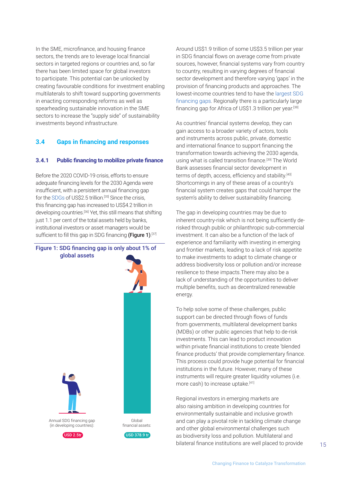<span id="page-14-0"></span>In the SME, microfinance, and housing finance sectors, the trends are to leverage local financial sectors in targeted regions or countries and, so far there has been limited space for global investors to participate. This potential can be unlocked by creating favourable conditions for investment enabling multilaterals to shift toward supporting governments in enacting corresponding reforms as well as spearheading sustainable innovation in the SME sectors to increase the "supply side" of sustainability investments beyond infrastructure.

### **3.4 Gaps in financing and responses**

#### **3.4.1 Public financing to mobilize private finance**

Before the 2020 COVID-19 crisis, efforts to ensure adequate financing levels for the 2030 Agenda were insufficient, with a persistent annual financing gap for the [SDGs](https://sdgs.un.org/goals) of US\$2.5 trillion.<sup>[35]</sup> Since the crisis, this financing gap has increased to US\$4.2 trillion in developing countries.[36] Yet, this still means that shifting just 1.1 per cent of the total assets held by banks, institutional investors or asset managers would be sufficient to fill this gap in SDG financing **(Figure 1)**.[37]



Around US\$1.9 trillion of some US\$3.5 trillion per year in SDG financial flows on average come from private sources, however, financial systems vary from country to country, resulting in varying degrees of financial sector development and therefore varying 'gaps' in the provision of financing products and approaches. The lowest-income countries tend to have the [largest SDG](https://www.ifc.org/wps/wcm/connect/842b73cc-12b0-4fe2-b058-d3ee75f74d06/EMCompass-Note-73-Closing-SDGs-Fund-Gap.pdf?MOD=AJPERES&CVID=mSHKl4S)  [financing gaps](https://www.ifc.org/wps/wcm/connect/842b73cc-12b0-4fe2-b058-d3ee75f74d06/EMCompass-Note-73-Closing-SDGs-Fund-Gap.pdf?MOD=AJPERES&CVID=mSHKl4S). Regionally there is a particularly large financing gap for Africa of US\$1.3 trillion per year.[38]

As countries' financial systems develop, they can gain access to a broader variety of actors, tools and instruments across public, private, domestic and international finance to support financing the transformation towards achieving the 2030 agenda, using what is called transition finance.<sup>[39]</sup> The World Bank assesses financial sector development in terms of depth, access, efficiency and stability.<sup>[40]</sup> Shortcomings in any of these areas of a country's financial system creates gaps that could hamper the system's ability to deliver sustainability financing.

The gap in developing countries may be due to inherent country-risk which is not being sufficiently derisked through public or philanthropic sub-commercial investment. It can also be a function of the lack of experience and familiarity with investing in emerging and frontier markets, leading to a lack of risk appetite to make investments to adapt to climate change or address biodiversity loss or pollution and/or increase resilience to these impacts.There may also be a lack of understanding of the opportunities to deliver multiple benefits, such as decentralized renewable energy.

To help solve some of these challenges, public support can be directed through flows of funds from governments, multilateral development banks (MDBs) or other public agencies that help to de-risk investments. This can lead to product innovation within private financial institutions to create 'blended finance products' that provide complementary finance. This process could provide huge potential for financial institutions in the future. However, many of these instruments will require greater liquidity volumes (i.e. more cash) to increase uptake.<sup>[41]</sup>

Regional investors in emerging markets are also raising ambition in developing countries for environmentally sustainable and inclusive growth and can play a pivotal role in tackling climate change and other global environmental challenges such as biodiversity loss and pollution. Multilateral and bilateral finance institutions are well placed to provide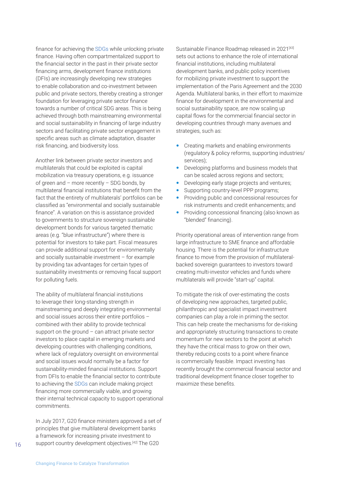finance for achieving the [SDGs](https://sdgs.un.org/goals) while unlocking private finance. Having often compartmentalized support to the financial sector in the past in their private sector financing arms, development finance institutions (DFIs) are increasingly developing new strategies to enable collaboration and co-investment between public and private sectors, thereby creating a stronger foundation for leveraging private sector finance towards a number of critical SDG areas. This is being achieved through both mainstreaming environmental and social sustainability in financing of large industry sectors and facilitating private sector engagement in specific areas such as climate adaptation, disaster risk financing, and biodiversity loss.

Another link between private sector investors and multilaterals that could be exploited is capital mobilization via treasury operations, e.g. issuance of green and – more recently – SDG bonds, by multilateral financial institutions that benefit from the fact that the entirety of multilaterals' portfolios can be classified as "environmental and socially sustainable finance". A variation on this is assistance provided to governments to structure sovereign sustainable development bonds for various targeted thematic areas (e.g. "blue infrastructure") where there is potential for investors to take part. Fiscal measures can provide additional support for environmentally and socially sustainable investment – for example by providing tax advantages for certain types of sustainability investments or removing fiscal support for polluting fuels.

The ability of multilateral financial institutions to leverage their long-standing strength in mainstreaming and deeply integrating environmental and social issues across their entire portfolios – combined with their ability to provide technical support on the ground – can attract private sector investors to place capital in emerging markets and developing countries with challenging conditions, where lack of regulatory oversight on environmental and social issues would normally be a factor for sustainability-minded financial institutions. Support from DFIs to enable the financial sector to contribute to achieving the [SDGs](https://sdgs.un.org/goals) can include making project financing more commercially viable, and growing their internal technical capacity to support operational commitments.

In July 2017, G20 finance ministers approved a set of principles that give multilateral development banks a framework for increasing private investment to support country development objectives.<sup>[42]</sup> The G20

Sustainable Finance Roadmap released in 2021<sup>[43]</sup> sets out actions to enhance the role of international financial institutions, including multilateral development banks, and public policy incentives for mobilizing private investment to support the implementation of the Paris Agreement and the 2030 Agenda. Multilateral banks, in their effort to maximize finance for development in the environmental and social sustainability space, are now scaling up capital flows for the commercial financial sector in developing countries through many avenues and strategies, such as:

- Creating markets and enabling environments (regulatory & policy reforms, supporting industries/ services);
- Developing platforms and business models that can be scaled across regions and sectors;
- Developing early stage projects and ventures;
- Supporting country-level PPP programs;
- Providing public and concessional resources for risk instruments and credit enhancements; and
- Providing concessional financing (also known as "blended" financing).

Priority operational areas of intervention range from large infrastructure to SME finance and affordable housing. There is the potential for infrastructure finance to move from the provision of multilateralbacked sovereign guarantees to investors toward creating multi-investor vehicles and funds where multilaterals will provide "start-up" capital.

To mitigate the risk of over-estimating the costs of developing new approaches, targeted public, philanthropic and specialist impact investment companies can play a role in priming the sector. This can help create the mechanisms for de-risking and appropriately structuring transactions to create momentum for new sectors to the point at which they have the critical mass to grow on their own, thereby reducing costs to a point where finance is commercially feasible. Impact investing has recently brought the commercial financial sector and traditional development finance closer together to maximize these benefits.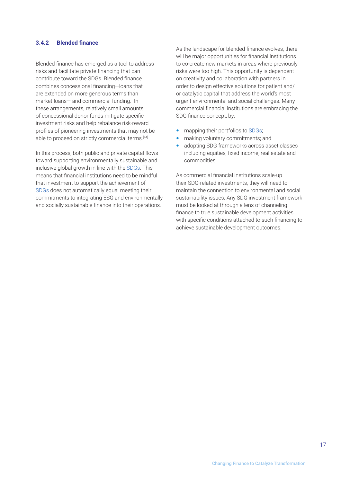### <span id="page-16-0"></span>**3.4.2 Blended finance**

Blended finance has emerged as a tool to address risks and facilitate private financing that can contribute toward the SDGs. Blended finance combines concessional financing—loans that are extended on more generous terms than market loans— and commercial funding. In these arrangements, relatively small amounts of concessional donor funds mitigate specific investment risks and help rebalance risk-reward profiles of pioneering investments that may not be able to proceed on strictly commercial terms.<sup>[44]</sup>

In this process, both public and private capital flows toward supporting environmentally sustainable and inclusive global growth in line with the [SDGs](https://sdgs.un.org/goals). This means that financial institutions need to be mindful that investment to support the achievement of [SDGs](https://sdgs.un.org/goals) does not automatically equal meeting their commitments to integrating ESG and environmentally and socially sustainable finance into their operations.

As the landscape for blended finance evolves, there will be major opportunities for financial institutions to co-create new markets in areas where previously risks were too high. This opportunity is dependent on creativity and collaboration with partners in order to design effective solutions for patient and/ or catalytic capital that address the world's most urgent environmental and social challenges. Many commercial financial institutions are embracing the SDG finance concept, by:

- mapping their portfolios to [SDGs](https://sdgs.un.org/goals);
- making voluntary commitments; and
- adopting SDG frameworks across asset classes including equities, fixed income, real estate and commodities.

As commercial financial institutions scale-up their SDG-related investments, they will need to maintain the connection to environmental and social sustainability issues. Any SDG investment framework must be looked at through a lens of channeling finance to true sustainable development activities with specific conditions attached to such financing to achieve sustainable development outcomes.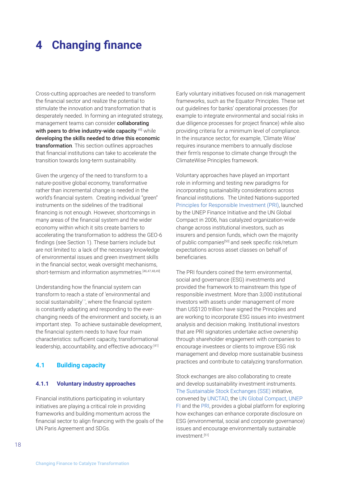## <span id="page-17-0"></span>**4 Changing finance**

Cross-cutting approaches are needed to transform the financial sector and realize the potential to stimulate the innovation and transformation that is desperately needed. In forming an integrated strategy, management teams can consider collaborating with peers to drive industry-wide capacity <sup>45]</sup> while developing the skills needed to drive this economic transformation. This section outlines approaches that financial institutions can take to accelerate the transition towards long-term sustainability.

Given the urgency of the need to transform to a nature-positive global economy, transformative rather than incremental change is needed in the world's financial system. Creating individual "green" instruments on the sidelines of the traditional financing is not enough. However, shortcomings in many areas of the financial system and the wider economy within which it sits create barriers to accelerating the transformation to address the GEO-6 findings (see Section 1). These barriers include but are not limited to: a lack of the necessary knowledge of environmental issues and green investment skills in the financial sector, weak oversight mechanisms, short-termism and information asymmetries.<sup>[46,47,48,49]</sup>

Understanding how the financial system can transform to reach a state of 'environmental and social sustainability' ', where the financial system is constantly adapting and responding to the everchanging needs of the environment and society, is an important step. To achieve sustainable development, the financial system needs to have four main characteristics: sufficient capacity, transformational leadership, accountability, and effective advocacy.<sup>[41]</sup>

### **4.1 Building capacity**

### **4.1.1 Voluntary industry approaches**

Financial institutions participating in voluntary initiatives are playing a critical role in providing frameworks and building momentum across the financial sector to align financing with the goals of the UN Paris Agreement and SDGs.

Early voluntary initiatives focused on risk management frameworks, such as the Equator Principles. These set out guidelines for banks' operational processes (for example to integrate environmental and social risks in due diligence processes for project finance) while also providing criteria for a minimum level of compliance. In the insurance sector, for example, 'Climate Wise' requires insurance members to annually disclose their firm's response to climate change through the ClimateWise Principles framework.

Voluntary approaches have played an important role in informing and testing new paradigms for incorporating sustainability considerations across financial institutions. The United Nations-supported [Principles for Responsible Investment \(PRI\),](https://www.unpri.org/) launched by the UNEP Finance Initiative and the UN Global Compact in 2006, has catalyzed organization-wide change across institutional investors, such as insurers and pension funds, which own the majority of public companies<sup>[50]</sup> and seek specific risk/return expectations across asset classes on behalf of beneficiaries.

The PRI founders coined the term environmental, social and governance (ESG) investments and provided the framework to mainstream this type of responsible investment. More than 3,000 institutional investors with assets under management of more than US\$120 trillion have signed the Principles and are working to incorporate ESG issues into investment analysis and decision making. Institutional investors that are PRI signatories undertake active ownership through shareholder engagement with companies to encourage investees or clients to improve ESG risk management and develop more sustainable business practices and contribute to catalyzing transformation.

Stock exchanges are also collaborating to create and develop sustainability investment instruments. [The Sustainable Stock Exchanges \(SSE\)](https://sseinitiative.org/) initiative, convened by [UNCTAD](https://unctad.org/), the [UN Global Compact](https://www.unglobalcompact.org/), [UNEP](https://www.unepfi.org/)  [FI](https://www.unepfi.org/) and the [PRI,](https://www.unpri.org/) provides a global platform for exploring how exchanges can enhance corporate disclosure on ESG (environmental, social and corporate governance) issues and encourage environmentally sustainable investment.[51]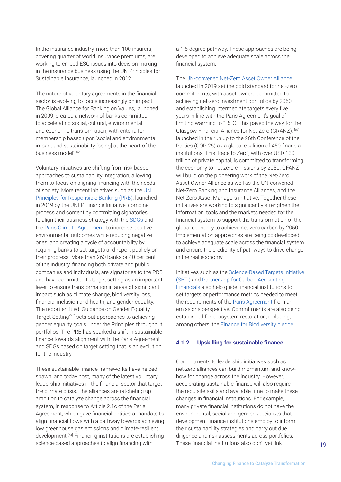<span id="page-18-0"></span>In the insurance industry, more than 100 insurers, covering quarter of world insurance premiums, are working to embed ESG issues into decision-making in the insurance business using the UN Principles for Sustainable Insurance, launched in 2012.

The nature of voluntary agreements in the financial sector is evolving to focus increasingly on impact. The Global Alliance for Banking on Values, launched in 2009, created a network of banks committed to accelerating social, cultural, environmental and economic transformation, with criteria for membership based upon 'social and environmental impact and sustainability [being] at the heart of the business model'.[52]

Voluntary initiatives are shifting from risk-based approaches to sustainability integration, allowing them to focus on aligning financing with the needs of society. More recent initiatives such as the [UN](https://www.unepfi.org/banking/bankingprinciples/)  [Principles for Responsible Banking \(PRB\),](https://www.unepfi.org/banking/bankingprinciples/) launched in 2019 by the UNEP Finance Initiative, combine process and content by committing signatories to align their business strategy with the [SDGs](https://sdgs.un.org/goals) and the [Paris Climate Agreement](https://unfccc.int/process-and-meetings/the-paris-agreement/the-paris-agreement), to increase positive environmental outcomes while reducing negative ones, and creating a cycle of accountability by requiring banks to set targets and report publicly on their progress. More than 260 banks or 40 per cent of the industry, financing both private and public companies and individuals, are signatories to the PRB and have committed to target setting as an important lever to ensure transformation in areas of significant impact such as climate change, biodiversity loss, financial inclusion and health, and gender equality. The report entitled 'Guidance on Gender Equality Target Setting<sup>'[53]</sup> sets out approaches to achieving gender equality goals under the Principles throughout portfolios. The PRB has sparked a shift in sustainable finance towards alignment with the Paris Agreement and SDGs based on target setting that is an evolution for the industry.

These sustainable finance frameworks have helped spawn, and today host, many of the latest voluntary leadership initiatives in the financial sector that target the climate crisis. The alliances are ratcheting up ambition to catalyze change across the financial system, in response to Article 2.1c of the Paris Agreement, which gave financial entities a mandate to align financial flows with a pathway towards achieving low greenhouse gas emissions and climate-resilient development.[54] Financing institutions are establishing science-based approaches to align financing with

a 1.5-degree pathway. These approaches are being developed to achieve adequate scale across the financial system.

The [UN-convened Net-Zero Asset Owner Alliance](https://www.unepfi.org/net-zero-alliance/) launched in 2019 set the gold standard for net-zero commitments, with asset owners committed to achieving net-zero investment portfolios by 2050, and establishing intermediate targets every five years in line with the Paris Agreement's goal of limiting warming to 1.5°C. This paved the way for the Glasgow Financial Alliance for Net Zero (GRANZ), [55] launched in the run up to the 26th Conference of the Parties (COP 26) as a global coalition of 450 financial institutions. This 'Race to Zero', with over USD 130 trillion of private capital, is committed to transforming the economy to net zero emissions by 2050. GFANZ will build on the pioneering work of the Net-Zero Asset Owner Alliance as well as the UN-convened Net-Zero Banking and Insurance Alliances, and the Net-Zero Asset Managers initiative. Together these initiatives are working to significantly strengthen the information, tools and the markets needed for the financial system to support the transformation of the global economy to achieve net zero carbon by 2050. Implementation approaches are being co-developed to achieve adequate scale across the financial system and ensure the credibility of pathways to drive change in the real economy.

Initiatives such as the [Science-Based Targets Initiative](https://sciencebasedtargets.org/about-us)  [\(SBTi\)](https://sciencebasedtargets.org/about-us) and [Partnership for Carbon Accounting](https://carbonaccountingfinancials.com/)  [Financials](https://carbonaccountingfinancials.com/) also help guide financial institutions to set targets or performance metrics needed to meet the requirements of the [Paris Agreement](https://unfccc.int/process-and-meetings/the-paris-agreement/the-paris-agreement) from an emissions perspective. Commitments are also being established for ecosystem restoration, including, among others, the [Finance for Biodiversity pledge](https://www.financeforbiodiversity.org/).

### **4.1.2 Upskilling for sustainable finance**

Commitments to leadership initiatives such as net-zero alliances can build momentum and knowhow for change across the industry. However, accelerating sustainable finance will also require the requisite skills and available time to make these changes in financial institutions. For example, many private financial institutions do not have the environmental, social and gender specialists that development finance institutions employ to inform their sustainability strategies and carry out due diligence and risk assessments across portfolios. These financial institutions also don't yet link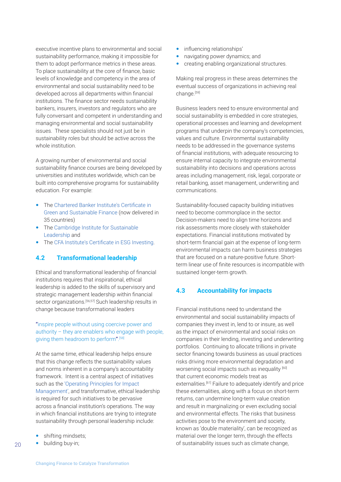<span id="page-19-0"></span>executive incentive plans to environmental and social sustainability performance, making it impossible for them to adopt performance metrics in these areas. To place sustainability at the core of finance, basic levels of knowledge and competency in the area of environmental and social sustainability need to be developed across all departments within financial institutions. The finance sector needs sustainability bankers, insurers, investors and regulators who are fully conversant and competent in understanding and managing environmental and social sustainability issues. These specialists should not just be in sustainability roles but should be active across the whole institution.

A growing number of environmental and social sustainability finance courses are being developed by universities and institutes worldwide, which can be built into comprehensive programs for sustainability education. For example:

- The [Chartered Banker Institute's Certificate in](https://www.charteredbanker.com/qualification/certificate-in-green-and-sustainable-finance.html)  [Green and Sustainable Finance](https://www.charteredbanker.com/qualification/certificate-in-green-and-sustainable-finance.html) (now delivered in 35 countries)
- Th[e Cambridge Institute for Sustainable](https://www.cisl.cam.ac.uk/centres/centre-for-sustainable-finance)  [Leadership](https://www.cisl.cam.ac.uk/centres/centre-for-sustainable-finance) and
- The [CFA Institute's Certificate in ESG Investing](https://www.cfainstitute.org/en/programs/esg-investing).

### **4.2 Transformational leadership**

Ethical and transformational leadership of financial institutions requires that inspirational, ethical leadership is added to the skills of supervisory and strategic management leadership within financial sector organizations.<sup>[56,57]</sup> Such leadership results in change because transformational leaders

### "inspire people without using coercive power and authority – they are enablers who engage with people, giving them headroom to perform".<sup>[58]</sup>

At the same time, ethical leadership helps ensure that this change reflects the sustainability values and norms inherent in a company's accountability framework. Intent is a central aspect of initiatives such as the ['Operating Principles for Impact](https://www.impactprinciples.org/)  [Management'](https://www.impactprinciples.org/), and transformative, ethical leadership is required for such initiatives to be pervasive across a financial institution's operations. The way in which financial institutions are trying to integrate sustainability through personal leadership include:

- shifting mindsets;
- building buy-in;
- influencing relationships'
- navigating power dynamics; and
- creating enabling organizational structures.

Making real progress in these areas determines the eventual success of organizations in achieving real change.<sup>[59]</sup>

Business leaders need to ensure environmental and social sustainability is embedded in core strategies, operational processes and learning and development programs that underpin the company's competencies, values and culture. Environmental sustainability needs to be addressed in the governance systems of financial institutions, with adequate resourcing to ensure internal capacity to integrate environmental sustainability into decisions and operations across areas including management, risk, legal, corporate or retail banking, asset management, underwriting and communications.

Sustainability-focused capacity building initiatives need to become commonplace in the sector. Decision-makers need to align time horizons and risk assessments more closely with stakeholder expectations. Financial institutions motivated by short-term financial gain at the expense of long-term environmental impacts can harm business strategies that are focused on a nature-positive future. Shortterm linear use of finite resources is incompatible with sustained longer-term growth.

### **4.3 Accountability for impacts**

Financial institutions need to understand the environmental and social sustainability impacts of companies they invest in, lend to or insure, as well as the impact of environmental and social risks on companies in their lending, investing and underwriting portfolios. Continuing to allocate trillions in private sector financing towards business as usual practices risks driving more environmental degradation and worsening social impacts such as inequality [60] that current economic models treat as externalities.<sup>[61]</sup> Failure to adequately identify and price these externalities, along with a focus on short-term returns, can undermine long-term value creation and result in marginalizing or even excluding social and environmental effects. The risks that business activities pose to the environment and society, known as 'double materiality', can be recognized as material over the longer term, through the effects of sustainability issues such as climate change,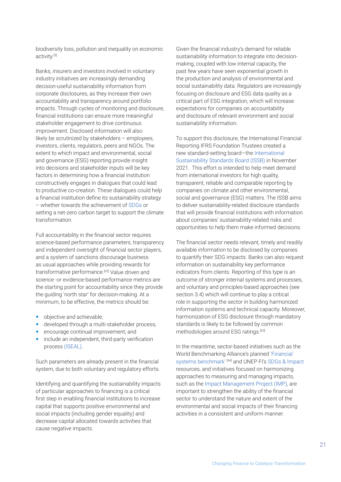biodiversity loss, pollution and inequality on economic activity.[5]

Banks, insurers and investors involved in voluntary industry initiatives are increasingly demanding decision-useful sustainability information from corporate disclosures, as they increase their own accountability and transparency around portfolio impacts. Through cycles of monitoring and disclosure, financial institutions can ensure more meaningful stakeholder engagement to drive continuous improvement. Disclosed information will also likely be scrutinized by stakeholders – employees, investors, clients, regulators, peers and NGOs. The extent to which impact and environmental, social and governance (ESG) reporting provide insight into decisions and stakeholder inputs will be key factors in determining how a financial institution constructively engages in dialogues that could lead to productive co-creation. These dialogues could help a financial institution define its sustainability strategy – whether towards the achievement of [SDGs](https://sdgs.un.org/goals) or setting a net-zero carbon target to support the climate transformation.

Full accountability in the financial sector requires science-based performance parameters, transparency and independent oversight of financial sector players, and a system of sanctions discourage business as usual approaches while providing rewards for transformative performance.<sup>[62]</sup> Value driven and science -or evidence-based performance metrics are the starting point for accountability since they provide the guiding 'north star' for decision-making. At a minimum, to be effective, the metrics should be:

- objective and achievable;
- **•** developed through a multi-stakeholder process;
- encourage continual improvement; and
- include an independent, third-party verification process [\(ISEAL\).](https://www.isealalliance.org/)

Such parameters are already present in the financial system, due to both voluntary and regulatory efforts.

Identifying and quantifying the sustainability impacts of particular approaches to financing is a critical first step in enabling financial institutions to increase capital that supports positive environmental and social impacts (including gender equality) and decrease capital allocated towards activities that cause negative impacts.

Given the financial industry's demand for reliable sustainability information to integrate into decisionmaking, coupled with low internal capacity, the past few years have seen exponential growth in the production and analysis of environmental and social sustainability data. Regulators are increasingly focusing on disclosure and ESG data quality as a critical part of ESG integration, which will increase expectations for companies on accountability and disclosure of relevant environment and social sustainability information.

To support this disclosure, the International Financial Reporting IFRS Foundation Trustees created a new standard-setting board—the [International](https://www.ifrs.org/groups/international-sustainability-standards-board/)  [Sustainability Standards Board \(ISSB\)](https://www.ifrs.org/groups/international-sustainability-standards-board/) in November 2021. This effort is intended to help meet demand from international investors for high quality, transparent, reliable and comparable reporting by companies on climate and other environmental, social and governance (ESG) matters. The ISSB aims to deliver sustainability-related disclosure standards that will provide financial institutions with information about companies' sustainability-related risks and opportunities to help them make informed decisions.

The financial sector needs relevant, timely and readily available information to be disclosed by companies to quantify their SDG impacts. Banks can also request information on sustainability key performance indicators from clients. Reporting of this type is an outcome of stronger internal systems and processes, and voluntary and principles-based approaches (see section 3.4) which will continue to play a critical role in supporting the sector in building harmonized information systems and technical capacity. Moreover, harmonization of ESG disclosure through mandatory standards is likely to be followed by common methodologies around ESG ratings.<sup>[63]</sup>

In the meantime, sector-based initiatives such as the World Benchmarking Alliance's planned ['Financial](https://www.worldbenchmarkingalliance.org/financial-system-benchmark/)  [systems benchmark'](https://www.worldbenchmarkingalliance.org/financial-system-benchmark/) [64] and UNEP FI's [SDGs & Impact](https://www.unepfi.org/positive-impact/positive-impact/) resources, and initiatives focused on harmonizing approaches to measuring and managing impacts, such as the [Impact Management Project \(IMP\)](https://impactmanagementproject.com/), are important to strengthen the ability of the financial sector to understand the nature and extent of the environmental and social impacts of their financing activities in a consistent and uniform manner.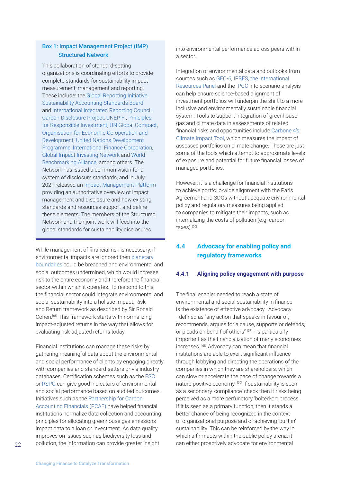### <span id="page-21-0"></span>Box 1: Impact Management Project (IMP) Structured Network

This collaboration of standard-setting organizations is coordinating efforts to provide complete standards for sustainability impact measurement, management and reporting. These include: the [Global Reporting Initiative](https://www.globalreporting.org/), [Sustainability Accounting Standards Board](https://www.sasb.org/) and [International Integrated Reporting Council,](https://integratedreporting.org/) [Carbon Disclosure Project](https://www.cdp.net/en), [UNEP FI,](https://www.unepfi.org/) [Principles](https://www.unpri.org/)  [for Responsible Investment](https://www.unpri.org/), [UN Global Compact,](https://www.unglobalcompact.org/) [Organisation for Economic Co-operation and](https://www.oecd.org/)  [Development](https://www.oecd.org/), [United Nations Development](https://www.undp.org/)  [Programme](https://www.undp.org/), [International Finance Corporation,](https://www.ifc.org/wps/wcm/connect/842b73cc-12b0-4fe2-b058-d3ee75f74d06/EMCompass-Note-73-Closing-SDGs-Fund-Gap.pdf?MOD=AJPERES&CVID=mSHKl4S) [Global Impact Investing Network](https://thegiin.org/) and [World](https://www.worldbenchmarkingalliance.org/)  [Benchmarking Alliance](https://www.worldbenchmarkingalliance.org/), among others. The Network has issued a common vision for a system of disclosure standards, and in July 2021 released an [Impact Management Platform](https://impactmanagementproject.com/) providing an authoritative overview of impact management and disclosure and how existing standards and resources support and define these elements. The members of the Structured Network and their joint work will feed into the global standards for sustainability disclosures.

While management of financial risk is necessary, if environmental impacts are ignored then [planetary](https://www.stockholmresilience.org/research/planetary-boundaries.html)  [boundaries](https://www.stockholmresilience.org/research/planetary-boundaries.html) could be breached and environmental and social outcomes undermined, which would increase risk to the entire economy and therefore the financial sector within which it operates. To respond to this, the financial sector could integrate environmental and social sustainability into a holistic Impact, Risk and Return framework as described by Sir Ronald Cohen.[65] This framework starts with normalizing impact-adjusted returns in the way that allows for evaluating risk-adjusted returns today.

Financial institutions can manage these risks by gathering meaningful data about the environmental and social performance of clients by engaging directly with companies and standard-setters or via industry databases. Certification schemes such as the [FSC](https://fsc.org/en) or [RSPO](https://rspo.org/) can give good indicators of environmental and social performance based on audited outcomes. Initiatives such as the [Partnership for Carbon](https://carbonaccountingfinancials.com/)  [Accounting Financials \(PCAF\)](https://carbonaccountingfinancials.com/) have helped financial institutions normalize data collection and accounting principles for allocating greenhouse gas emissions impact data to a loan or investment. As data quality improves on issues such as biodiversity loss and pollution, the information can provide greater insight

into environmental performance across peers within a sector.

Integration of environmental data and outlooks from sources such as [GEO-6,](https://www.unep.org/resources/global-environment-outlook-6) [IPBES, the International](https://ipbes.net/)  [Resources Panel](https://ipbes.net/) and the [IPCC](https://www.ipcc.ch/) into scenario analysis can help ensure science-based alignment of investment portfolios will underpin the shift to a more inclusive and environmentally sustainable financial system. Tools to support integration of greenhouse gas and climate data in assessments of related financial risks and opportunities include [Carbone 4's](https://www.carbone4.com/carbon-impact-analytics) [Climate Impact Tool](https://www.carbone4.com/carbon-impact-analytics), which measures the impact of assessed portfolios on climate change. These are just some of the tools which attempt to approximate levels of exposure and potential for future financial losses of managed portfolios.

However, it is a challenge for financial institutions to achieve portfolio-wide alignment with the Paris Agreement and SDGs without adequate environmental policy and regulatory measures being applied to companies to mitigate their impacts, such as internalizing the costs of pollution (e.g. carbon taxes).[66]

## **4.4 Advocacy for enabling policy and regulatory frameworks**

### **4.4.1 Aligning policy engagement with purpose**

The final enabler needed to reach a state of environmental and social sustainability in finance is the existence of effective advocacy. Advocacy - defined as "any action that speaks in favour of, recommends, argues for a cause, supports or defends, or pleads on behalf of others" [67] - is particularly important as the financialization of many economies increases. [68] Advocacy can mean that financial institutions are able to exert significant influence through lobbying and directing the operations of the companies in which they are shareholders, which can slow or accelerate the pace of change towards a nature-positive economy. [69] If sustainability is seen as a secondary 'compliance' check then it risks being perceived as a more perfunctory 'bolted-on' process. If it is seen as a primary function, then it stands a better chance of being recognized in the context of organizational purpose and of achieving 'built-in' sustainability. This can be reinforced by the way in which a firm acts within the public policy arena: it can either proactively advocate for environmental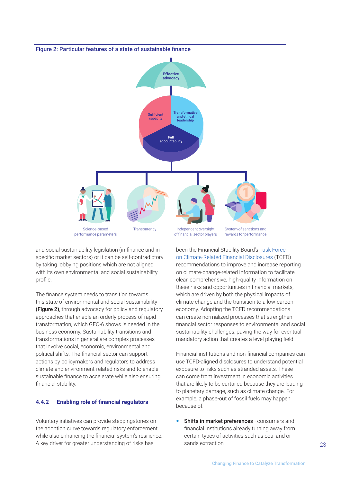<span id="page-22-0"></span>

and social sustainability legislation (in finance and in specific market sectors) or it can be self-contradictory by taking lobbying positions which are not aligned with its own environmental and social sustainability profile.

The finance system needs to transition towards this state of environmental and social sustainability (Figure 2), through advocacy for policy and regulatory approaches that enable an orderly process of rapid transformation, which GEO-6 shows is needed in the business economy. Sustainability transitions and transformations in general are complex processes that involve social, economic, environmental and political shifts. The financial sector can support actions by policymakers and regulators to address climate and environment-related risks and to enable sustainable finance to accelerate while also ensuring financial stability.

### **4.4.2 Enabling role of financial regulators**

Voluntary initiatives can provide steppingstones on the adoption curve towards regulatory enforcement while also enhancing the financial system's resilience. A key driver for greater understanding of risks has

been the Financial Stability Board's [Task Force](https://www.fsb-tcfd.org/)  [on Climate-Related Financial Disclosures](https://www.fsb-tcfd.org/) (TCFD) recommendations to improve and increase reporting on climate-change-related information to facilitate clear, comprehensive, high-quality information on these risks and opportunities in financial markets, which are driven by both the physical impacts of climate change and the transition to a low-carbon economy. Adopting the TCFD recommendations can create normalized processes that strengthen financial sector responses to environmental and social sustainability challenges, paving the way for eventual mandatory action that creates a level playing field.

Financial institutions and non-financial companies can use TCFD-aligned disclosures to understand potential exposure to risks such as stranded assets. These can come from investment in economic activities that are likely to be curtailed because they are leading to planetary damage, such as climate change. For example, a phase-out of fossil fuels may happen because of:

**• Shifts in market preferences** - consumers and financial institutions already turning away from certain types of activities such as coal and oil sands extraction.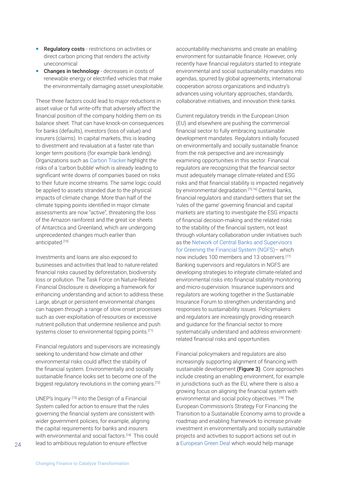- Regulatory costs restrictions on activities or direct carbon pricing that renders the activity uneconomical
- Changes in technology decreases in costs of renewable energy or electrified vehicles that make the environmentally damaging asset unexploitable.

These three factors could lead to major reductions in asset value or full write-offs that adversely affect the financial position of the company holding them on its balance sheet. That can have knock-on consequences for banks (defaults), investors (loss of value) and insurers (claims). In capital markets, this is leading to divestment and revaluation at a faster rate than longer term positions (for example bank lending). Organizations such as [Carbon Tracker](https://carbontracker.org/) highlight the risks of a 'carbon bubble' which is already leading to significant write downs of companies based on risks to their future income streams. The same logic could be applied to assets stranded due to the physical impacts of climate change. More than half of the climate tipping points identified in major climate assessments are now "active", threatening the loss of the Amazon rainforest and the great ice sheets of Antarctica and Greenland, which are undergoing unprecedented changes much earlier than anticipated.[70]

Investments and loans are also exposed to businesses and activities that lead to nature-related financial risks caused by deforestation, biodiversity loss or pollution. The Task Force on Nature-Related Financial Disclosure is developing a framework for enhancing understanding and action to address these. Large, abrupt or persistent environmental changes can happen through a range of slow onset processes such as over-exploitation of resources or excessive nutrient pollution that undermine resilience and push systems closer to environmental tipping points.<sup>[71]</sup>

Financial regulators and supervisors are increasingly seeking to understand how climate and other environmental risks could affect the stability of the financial system. Environmentally and socially sustainable finance looks set to become one of the biggest regulatory revolutions in the coming years.<sup>[72]</sup>

UNEP's Inquiry [73] into the Design of a Financial System called for action to ensure that the rules governing the financial system are consistent with wider government policies, for example, aligning the capital requirements for banks and insurers with environmental and social factors.<sup>[74]</sup> This could lead to ambitious regulation to ensure effective

accountability mechanisms and create an enabling environment for sustainable finance. However, only recently have financial regulators started to integrate environmental and social sustainability mandates into agendas, spurred by global agreements, international cooperation across organizations and industry's advances using voluntary approaches, standards, collaborative initiatives, and innovation think-tanks.

Current regulatory trends in the European Union (EU) and elsewhere are pushing the commercial financial sector to fully embracing sustainable development mandates. Regulators initially focused on environmentally and socially sustainable finance from the risk perspective and are increasingly examining opportunities in this sector. Financial regulators are recognizing that the financial sector must adequately manage climate-related and ESG risks and that financial stability is impacted negatively by environmental degradation.<sup>[75,76]</sup> Central banks, financial regulators and standard-setters that set the 'rules of the game' governing financial and capital markets are starting to investigate the ESG impacts of financial decision-making and the related risks to the stability of the financial system, not least through voluntary collaboration under initiatives such as the [Network of Central Banks and Supervisors](https://www.ngfs.net/en#:~:text=The%20Network%20of%20Central%20Banks,of%20environment%20and%20climate%20risk)  [for Greening the Financial System \(NGFS\)](https://www.ngfs.net/en#:~:text=The%20Network%20of%20Central%20Banks,of%20environment%20and%20climate%20risk)– which now includes 100 members and 13 observers.[77] Banking supervisors and regulators in NGFS are developing strategies to integrate climate-related and environmental risks into financial stability monitoring and micro-supervision. Insurance supervisors and regulators are working together in the Sustainable Insurance Forum to strengthen understanding and responses to sustainability issues. Policymakers and regulators are increasingly providing research and guidance for the financial sector to more systematically understand and address environmentrelated financial risks and opportunities.

Financial policymakers and regulators are also increasingly supporting alignment of financing with sustainable development (Figure 3). Core approaches include creating an enabling environment, for example in jurisdictions such as the EU, where there is also a growing focus on aligning the financial system with environmental and social policy objectives. [78] The European Commission's Strategy For Financing the Transition to a Sustainable Economy aims to provide a roadmap and enabling framework to increase private investment in environmentally and socially sustainable projects and activities to support actions set out in a [European Green Deal](https://ec.europa.eu/info/strategy/priorities-2019-2024/european-green-deal_en) which would help manage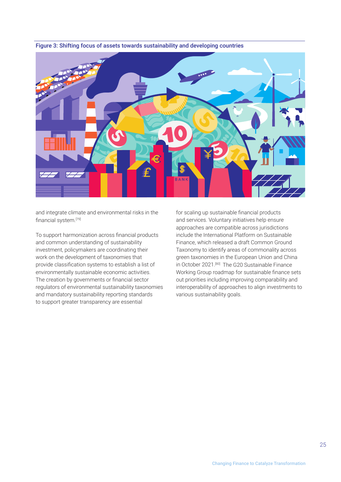

Figure 3: Shifting focus of assets towards sustainability and developing countries

and integrate climate and environmental risks in the financial system.[79]

To support harmonization across financial products and common understanding of sustainability investment, policymakers are coordinating their work on the development of taxonomies that provide classification systems to establish a list of environmentally sustainable economic activities. The creation by governments or financial sector regulators of environmental sustainability taxonomies and mandatory sustainability reporting standards to support greater transparency are essential

for scaling up sustainable financial products and services. Voluntary initiatives help ensure approaches are compatible across jurisdictions include the International Platform on Sustainable Finance, which released a draft Common Ground Taxonomy to identify areas of commonality across green taxonomies in the European Union and China in October 2021.<sup>[80]</sup> The G20 Sustainable Finance Working Group roadmap for sustainable finance sets out priorities including improving comparability and interoperability of approaches to align investments to various sustainability goals.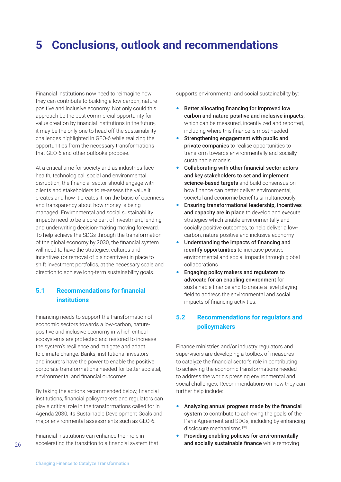# <span id="page-25-0"></span>**5 Conclusions, outlook and recommendations**

Financial institutions now need to reimagine how they can contribute to building a low-carbon, naturepositive and inclusive economy. Not only could this approach be the best commercial opportunity for value creation by financial institutions in the future, it may be the only one to head off the sustainability challenges highlighted in GEO-6 while realizing the opportunities from the necessary transformations that GEO-6 and other outlooks propose.

At a critical time for society and as industries face health, technological, social and environmental disruption, the financial sector should engage with clients and stakeholders to re-assess the value it creates and how it creates it, on the basis of openness and transparency about how money is being managed. Environmental and social sustainability impacts need to be a core part of investment, lending and underwriting decision-making moving foreward. To help achieve the SDGs through the transformation of the global economy by 2030, the financial system will need to have the strategies, cultures and incentives (or removal of disincentives) in place to shift investment portfolios, at the necessary scale and direction to achieve long-term sustainability goals.

## **5.1 Recommendations for financial institutions**

Financing needs to support the transformation of economic sectors towards a low-carbon, naturepositive and inclusive economy in which critical ecosystems are protected and restored to increase the system's resilience and mitigate and adapt to climate change. Banks, institutional investors and insurers have the power to enable the positive corporate transformations needed for better societal, environmental and financial outcomes.

By taking the actions recommended below, financial institutions, financial policymakers and regulators can play a critical role in the transformations called for in Agenda 2030, its Sustainable Development Goals and major environmental assessments such as GEO-6.

Financial institutions can enhance their role in accelerating the transition to a financial system that supports environmental and social sustainability by:

- Better allocating financing for improved low carbon and nature-positive and inclusive impacts, which can be measured, incentivized and reported, including where this finance is most needed
- Strengthening engagement with public and private companies to realise opportunities to transform towards environmentally and socially sustainable models
- Collaborating with other financial sector actors and key stakeholders to set and implement science-based targets and build consensus on how finance can better deliver environmental, societal and economic benefits simultaneously
- Ensuring transformational leadership, incentives and capacity are in place to develop and execute strategies which enable environmentally and socially positive outcomes, to help deliver a lowcarbon, nature-positive and inclusive economy
- Understanding the impacts of financing and identify opportunities to increase positive environmental and social impacts through global collaborations
- Engaging policy makers and regulators to advocate for an enabling environment for sustainable finance and to create a level playing field to address the environmental and social impacts of financing activities.

## **5.2 Recommendations for regulators and policymakers**

Finance ministries and/or industry regulators and supervisors are developing a toolbox of measures to catalyze the financial sector's role in contributing to achieving the economic transformations needed to address the world's pressing environmental and social challenges. Recommendations on how they can further help include:

- Analyzing annual progress made by the financial system to contribute to achieving the goals of the Paris Agreement and SDGs, including by enhancing disclosure mechanisms [81]
- Providing enabling policies for environmentally and socially sustainable finance while removing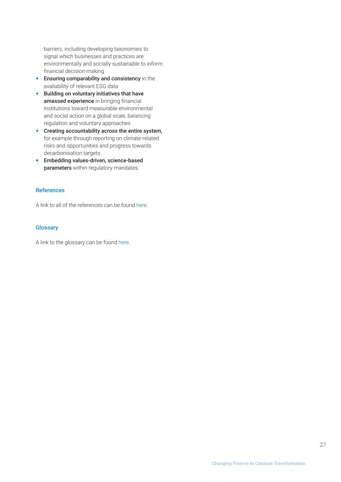<span id="page-26-0"></span>barriers, including developing taxonomies to signal which businesses and practices are environmentally and socially sustainable to inform financial decision-making

- **Ensuring comparability and consistency** in the availability of relevant ESG data
- **•** Building on voluntary initiatives that have amassed experience in bringing financial institutions toward measurable environmental and social action on a global scale, balancing regulation and voluntary approaches
- Creating accountability across the entire system, for example through reporting on climate-related risks and opportunities and progress towards decarbonisation targets
- **•** Embedding values-driven, science-based parameters within regulatory mandates.

### References

A link to all of the references can be found [here](https://wedocs.unep.org/bitstream/handle/20.500.11822/37570/GFB6R.pdf).

### **Glossary**

A link to the glossary can be found [here](https://wedocs.unep.org/bitstream/handle/20.500.11822/37569/GFB6G.pdf).